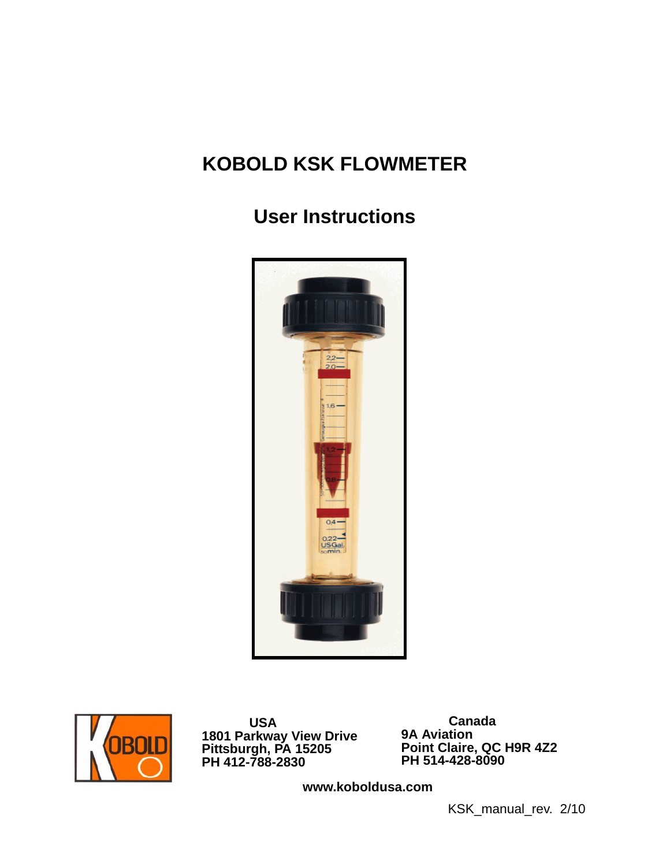# **KOBOLD KSK FLOWMETER**

# **User Instructions**





 **USA 1801 Parkway View Drive Pittsburgh, PA 15205 PH 412-788-2830**

 **Canada 9A Aviation Point Claire, QC H9R 4Z2 PH 514-428-8090**

**www.koboldusa.com**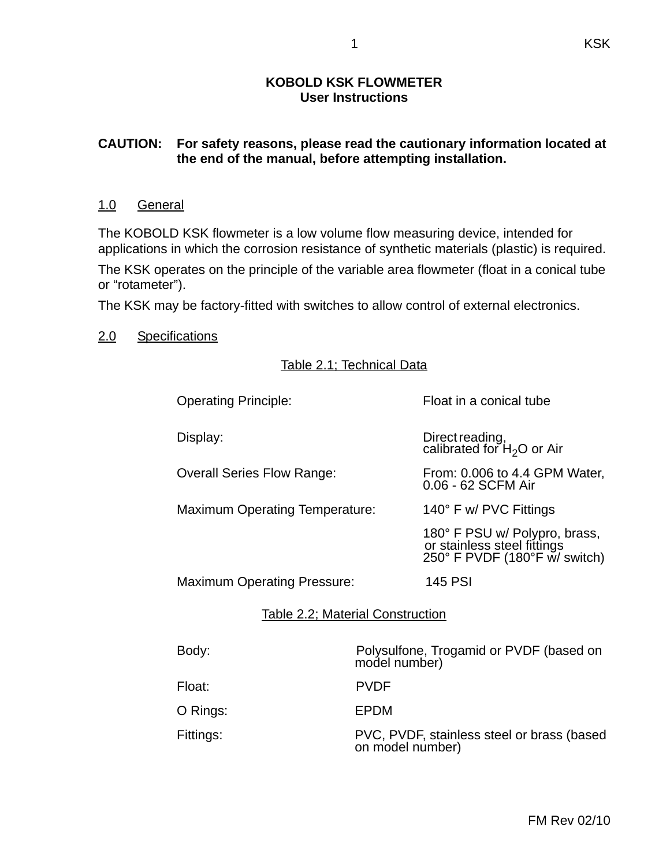#### **KOBOLD KSK FLOWMETER User Instructions**

#### **CAUTION: For safety reasons, please read the cautionary information located at the end of the manual, before attempting installation.**

#### 1.0 General

The KOBOLD KSK flowmeter is a low volume flow measuring device, intended for applications in which the corrosion resistance of synthetic materials (plastic) is required.

The KSK operates on the principle of the variable area flowmeter (float in a conical tube or "rotameter").

The KSK may be factory-fitted with switches to allow control of external electronics.

#### 2.0 Specifications

#### Table 2.1; Technical Data

| <b>Operating Principle:</b>             |                                                          | Float in a conical tube                                                                       |
|-----------------------------------------|----------------------------------------------------------|-----------------------------------------------------------------------------------------------|
| Display:                                |                                                          | Direct reading,<br>calibrated for $H_2O$ or Air                                               |
| <b>Overall Series Flow Range:</b>       |                                                          | From: 0.006 to 4.4 GPM Water,<br>0.06 - 62 SCFM Air                                           |
| <b>Maximum Operating Temperature:</b>   |                                                          | 140° F w/ PVC Fittings                                                                        |
|                                         |                                                          | 180° F PSU w/ Polypro, brass,<br>or stainless steel fittings<br>250° F PVDF (180°F w/ switch) |
| <b>Maximum Operating Pressure:</b>      |                                                          | <b>145 PSI</b>                                                                                |
| <b>Table 2.2; Material Construction</b> |                                                          |                                                                                               |
| Body:                                   | Polysulfone, Trogamid or PVDF (based on<br>model number) |                                                                                               |
| Float:                                  | <b>PVDF</b>                                              |                                                                                               |
| O Rings:                                | EPDM                                                     |                                                                                               |
| Fittings:                               | on model number)                                         | PVC, PVDF, stainless steel or brass (based                                                    |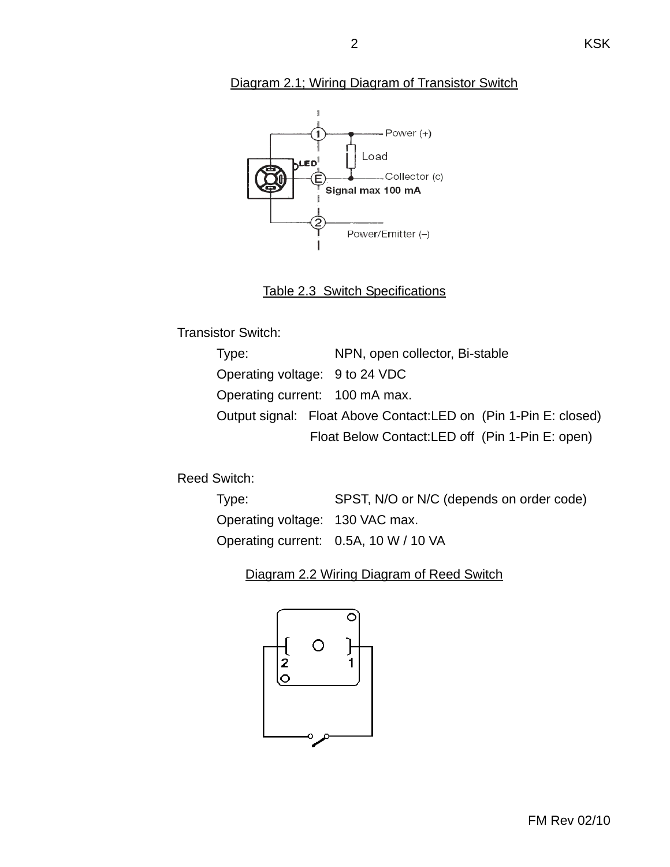#### Diagram 2.1; Wiring Diagram of Transistor Switch



### Table 2.3 Switch Specifications

Transistor Switch:

| Type: | NPN, open collector, Bi-stable                                  |
|-------|-----------------------------------------------------------------|
|       | Operating voltage: 9 to 24 VDC                                  |
|       | Operating current: 100 mA max.                                  |
|       | Output signal: Float Above Contact:LED on (Pin 1-Pin E: closed) |
|       | Float Below Contact: LED off (Pin 1-Pin E: open)                |

Reed Switch:

| Type:                           | SPST, N/O or N/C (depends on order code) |
|---------------------------------|------------------------------------------|
| Operating voltage: 130 VAC max. |                                          |
|                                 | Operating current: 0.5A, 10 W / 10 VA    |

#### Diagram 2.2 Wiring Diagram of Reed Switch

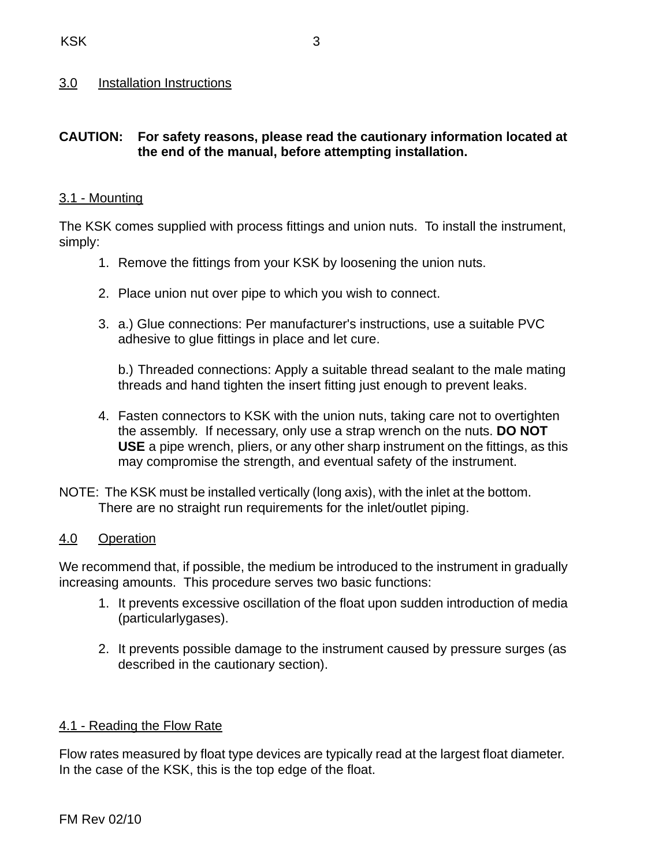#### 3.0 Installation Instructions

#### **CAUTION: For safety reasons, please read the cautionary information located at the end of the manual, before attempting installation.**

#### 3.1 - Mounting

The KSK comes supplied with process fittings and union nuts. To install the instrument, simply:

- 1. Remove the fittings from your KSK by loosening the union nuts.
- 2. Place union nut over pipe to which you wish to connect.
- 3. a.) Glue connections: Per manufacturer's instructions, use a suitable PVC adhesive to glue fittings in place and let cure.

b.) Threaded connections: Apply a suitable thread sealant to the male mating threads and hand tighten the insert fitting just enough to prevent leaks.

- 4. Fasten connectors to KSK with the union nuts, taking care not to overtighten the assembly. If necessary, only use a strap wrench on the nuts. **DO NOT USE** a pipe wrench, pliers, or any other sharp instrument on the fittings, as this may compromise the strength, and eventual safety of the instrument.
- NOTE: The KSK must be installed vertically (long axis), with the inlet at the bottom. There are no straight run requirements for the inlet/outlet piping.

#### 4.0 Operation

We recommend that, if possible, the medium be introduced to the instrument in gradually increasing amounts. This procedure serves two basic functions:

- 1. It prevents excessive oscillation of the float upon sudden introduction of media (particularlygases).
- 2. It prevents possible damage to the instrument caused by pressure surges (as described in the cautionary section).

#### 4.1 - Reading the Flow Rate

Flow rates measured by float type devices are typically read at the largest float diameter. In the case of the KSK, this is the top edge of the float.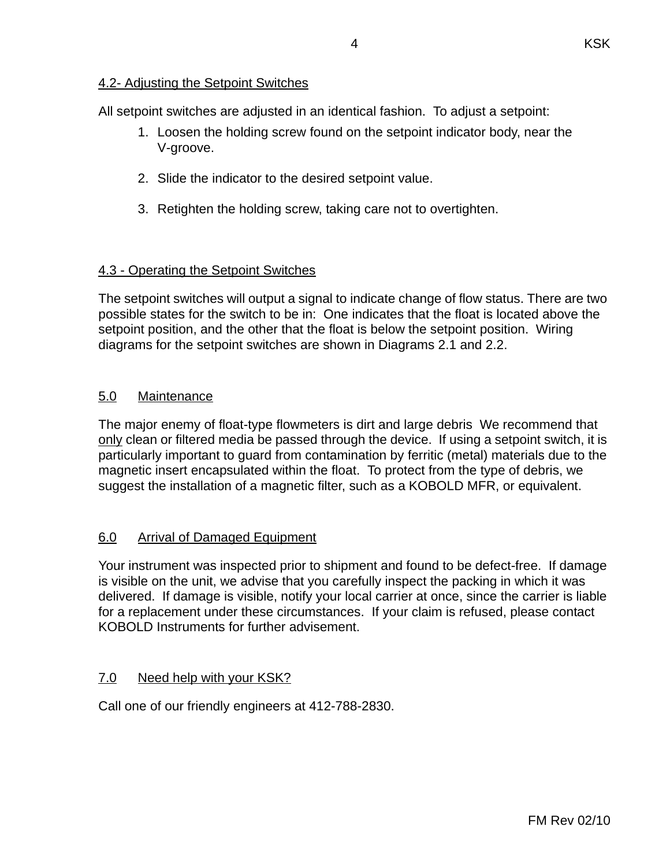#### 4.2- Adjusting the Setpoint Switches

All setpoint switches are adjusted in an identical fashion. To adjust a setpoint:

- 1. Loosen the holding screw found on the setpoint indicator body, near the V-groove.
- 2. Slide the indicator to the desired setpoint value.
- 3. Retighten the holding screw, taking care not to overtighten.

#### 4.3 - Operating the Setpoint Switches

The setpoint switches will output a signal to indicate change of flow status. There are two possible states for the switch to be in: One indicates that the float is located above the setpoint position, and the other that the float is below the setpoint position. Wiring diagrams for the setpoint switches are shown in Diagrams 2.1 and 2.2.

#### 5.0 Maintenance

The major enemy of float-type flowmeters is dirt and large debris We recommend that only clean or filtered media be passed through the device. If using a setpoint switch, it is particularly important to guard from contamination by ferritic (metal) materials due to the magnetic insert encapsulated within the float. To protect from the type of debris, we suggest the installation of a magnetic filter, such as a KOBOLD MFR, or equivalent.

### 6.0 Arrival of Damaged Equipment

Your instrument was inspected prior to shipment and found to be defect-free. If damage is visible on the unit, we advise that you carefully inspect the packing in which it was delivered. If damage is visible, notify your local carrier at once, since the carrier is liable for a replacement under these circumstances. If your claim is refused, please contact KOBOLD Instruments for further advisement.

#### 7.0 Need help with your KSK?

Call one of our friendly engineers at 412-788-2830.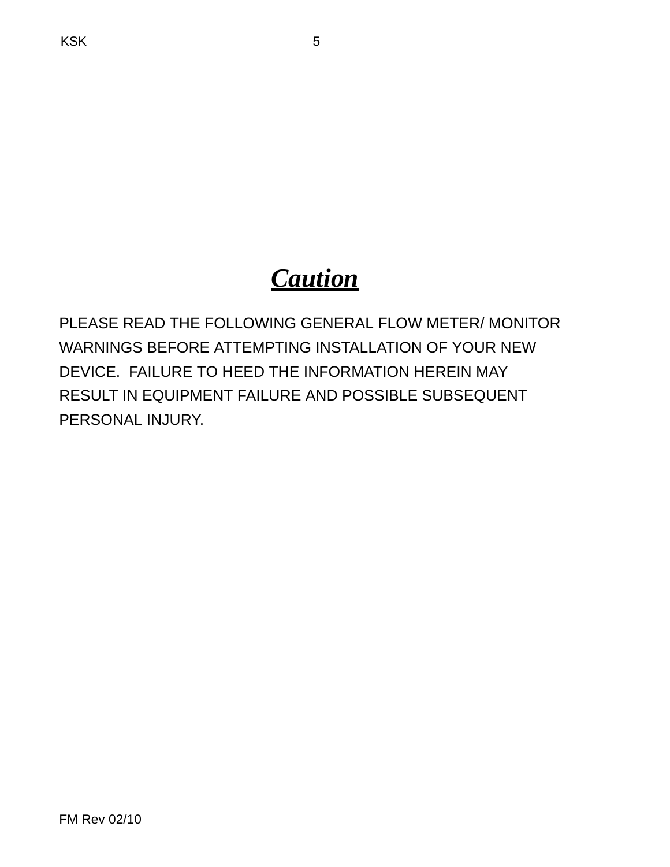# *Caution*

PLEASE READ THE FOLLOWING GENERAL FLOW METER/ MONITOR WARNINGS BEFORE ATTEMPTING INSTALLATION OF YOUR NEW DEVICE. FAILURE TO HEED THE INFORMATION HEREIN MAY RESULT IN EQUIPMENT FAILURE AND POSSIBLE SUBSEQUENT PERSONAL INJURY.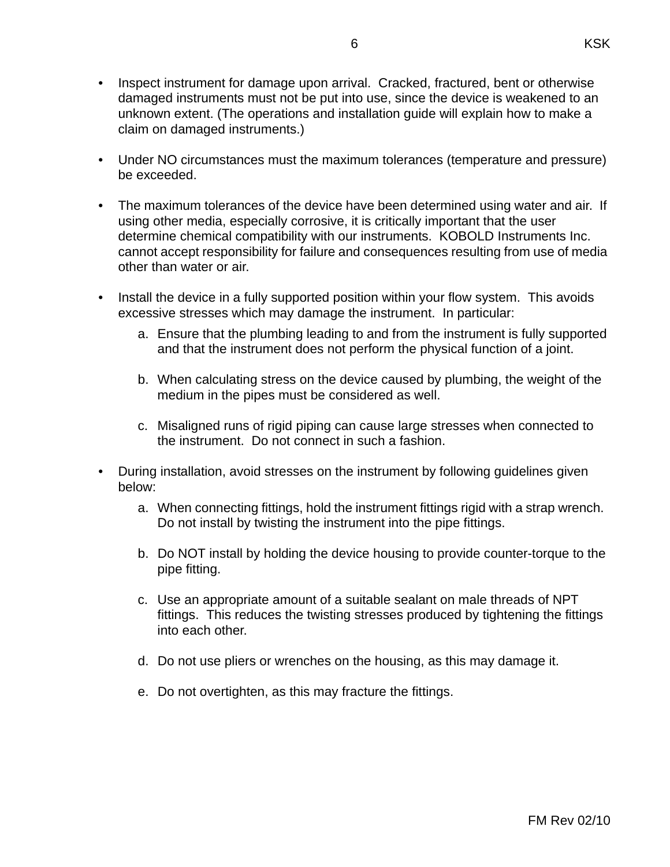- Inspect instrument for damage upon arrival. Cracked, fractured, bent or otherwise damaged instruments must not be put into use, since the device is weakened to an unknown extent. (The operations and installation guide will explain how to make a claim on damaged instruments.)
- Under NO circumstances must the maximum tolerances (temperature and pressure) be exceeded.
- The maximum tolerances of the device have been determined using water and air. If using other media, especially corrosive, it is critically important that the user determine chemical compatibility with our instruments. KOBOLD Instruments Inc. cannot accept responsibility for failure and consequences resulting from use of media other than water or air.
- Install the device in a fully supported position within your flow system. This avoids excessive stresses which may damage the instrument. In particular:
	- a. Ensure that the plumbing leading to and from the instrument is fully supported and that the instrument does not perform the physical function of a joint.
	- b. When calculating stress on the device caused by plumbing, the weight of the medium in the pipes must be considered as well.
	- c. Misaligned runs of rigid piping can cause large stresses when connected to the instrument. Do not connect in such a fashion.
- During installation, avoid stresses on the instrument by following guidelines given below:
	- a. When connecting fittings, hold the instrument fittings rigid with a strap wrench. Do not install by twisting the instrument into the pipe fittings.
	- b. Do NOT install by holding the device housing to provide counter-torque to the pipe fitting.
	- c. Use an appropriate amount of a suitable sealant on male threads of NPT fittings. This reduces the twisting stresses produced by tightening the fittings into each other.
	- d. Do not use pliers or wrenches on the housing, as this may damage it.
	- e. Do not overtighten, as this may fracture the fittings.